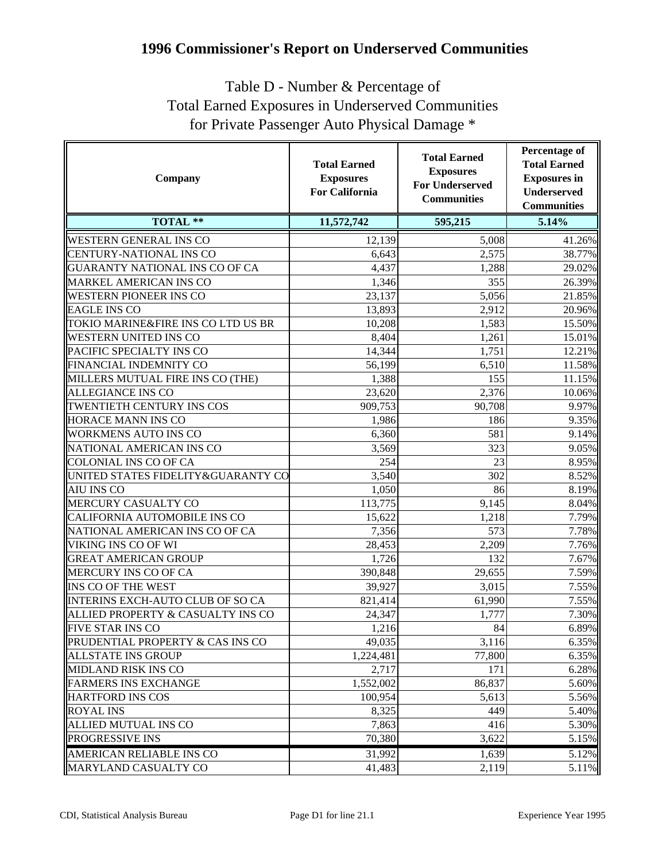## **1996 Commissioner's Report on Underserved Communities**

## Table D - Number & Percentage of Total Earned Exposures in Underserved Communities for Private Passenger Auto Physical Damage \*

| Company                            | <b>Total Earned</b><br><b>Exposures</b><br><b>For California</b> | <b>Total Earned</b><br><b>Exposures</b><br><b>For Underserved</b><br><b>Communities</b> | <b>Percentage of</b><br><b>Total Earned</b><br><b>Exposures</b> in<br><b>Underserved</b><br><b>Communities</b> |
|------------------------------------|------------------------------------------------------------------|-----------------------------------------------------------------------------------------|----------------------------------------------------------------------------------------------------------------|
| <b>TOTAL **</b>                    | 11,572,742                                                       | 595,215                                                                                 | 5.14%                                                                                                          |
| <b>WESTERN GENERAL INS CO</b>      | 12,139                                                           | 5,008                                                                                   | 41.26%                                                                                                         |
| CENTURY-NATIONAL INS CO            | 6,643                                                            | 2,575                                                                                   | 38.77%                                                                                                         |
| GUARANTY NATIONAL INS CO OF CA     | 4,437                                                            | 1,288                                                                                   | 29.02%                                                                                                         |
| MARKEL AMERICAN INS CO             | 1,346                                                            | 355                                                                                     | 26.39%                                                                                                         |
| <b>WESTERN PIONEER INS CO</b>      | 23,137                                                           | 5,056                                                                                   | 21.85%                                                                                                         |
| <b>EAGLE INS CO</b>                | 13,893                                                           | 2,912                                                                                   | 20.96%                                                                                                         |
| TOKIO MARINE&FIRE INS CO LTD US BR | 10,208                                                           | 1,583                                                                                   | 15.50%                                                                                                         |
| WESTERN UNITED INS CO              | 8,404                                                            | 1,261                                                                                   | 15.01%                                                                                                         |
| PACIFIC SPECIALTY INS CO           | 14,344                                                           | 1,751                                                                                   | 12.21%                                                                                                         |
| FINANCIAL INDEMNITY CO             | 56,199                                                           | 6,510                                                                                   | 11.58%                                                                                                         |
| MILLERS MUTUAL FIRE INS CO (THE)   | 1,388                                                            | 155                                                                                     | 11.15%                                                                                                         |
| <b>ALLEGIANCE INS CO</b>           | 23,620                                                           | 2,376                                                                                   | 10.06%                                                                                                         |
| TWENTIETH CENTURY INS COS          | 909,753                                                          | 90,708                                                                                  | 9.97%                                                                                                          |
| HORACE MANN INS CO                 | 1,986                                                            | 186                                                                                     | 9.35%                                                                                                          |
| <b>WORKMENS AUTO INS CO</b>        | 6,360                                                            | 581                                                                                     | 9.14%                                                                                                          |
| NATIONAL AMERICAN INS CO           | 3,569                                                            | 323                                                                                     | 9.05%                                                                                                          |
| <b>COLONIAL INS CO OF CA</b>       | 254                                                              | 23                                                                                      | 8.95%                                                                                                          |
| UNITED STATES FIDELITY&GUARANTY CO | 3,540                                                            | 302                                                                                     | 8.52%                                                                                                          |
| <b>AIU INS CO</b>                  | 1,050                                                            | 86                                                                                      | 8.19%                                                                                                          |
| MERCURY CASUALTY CO                | 113,775                                                          | 9,145                                                                                   | 8.04%                                                                                                          |
| CALIFORNIA AUTOMOBILE INS CO       | 15,622                                                           | 1,218                                                                                   | 7.79%                                                                                                          |
| NATIONAL AMERICAN INS CO OF CA     | 7,356                                                            | 573                                                                                     | 7.78%                                                                                                          |
| VIKING INS CO OF WI                | 28,453                                                           | 2,209                                                                                   | 7.76%                                                                                                          |
| <b>GREAT AMERICAN GROUP</b>        | 1,726                                                            | 132                                                                                     | 7.67%                                                                                                          |
| MERCURY INS CO OF CA               | 390,848                                                          | 29,655                                                                                  | 7.59%                                                                                                          |
| <b>INS CO OF THE WEST</b>          | 39,927                                                           | 3,015                                                                                   | 7.55%                                                                                                          |
| INTERINS EXCH-AUTO CLUB OF SO CA   | 821,414                                                          | 61,990                                                                                  | 7.55%                                                                                                          |
| ALLIED PROPERTY & CASUALTY INS CO  | 24,347                                                           | 1,777                                                                                   | 7.30%                                                                                                          |
| <b>FIVE STAR INS CO</b>            | 1,216                                                            | 84                                                                                      | 6.89%                                                                                                          |
| PRUDENTIAL PROPERTY & CAS INS CO   | 49,035                                                           | 3,116                                                                                   | 6.35%                                                                                                          |
| <b>ALLSTATE INS GROUP</b>          | 1,224,481                                                        | 77,800                                                                                  | 6.35%                                                                                                          |
| <b>MIDLAND RISK INS CO</b>         | 2,717                                                            | 171                                                                                     | 6.28%                                                                                                          |
| <b>FARMERS INS EXCHANGE</b>        | 1,552,002                                                        | 86,837                                                                                  | 5.60%                                                                                                          |
| HARTFORD INS COS                   | 100,954                                                          | 5,613                                                                                   | 5.56%                                                                                                          |
| <b>ROYAL INS</b>                   | 8,325                                                            | 449                                                                                     | 5.40%                                                                                                          |
| <b>ALLIED MUTUAL INS CO</b>        | 7,863                                                            | 416                                                                                     | 5.30%                                                                                                          |
| <b>PROGRESSIVE INS</b>             | 70,380                                                           | 3,622                                                                                   | 5.15%                                                                                                          |
| <b>AMERICAN RELIABLE INS CO</b>    | 31,992                                                           | 1,639                                                                                   | 5.12%                                                                                                          |
| MARYLAND CASUALTY CO               | 41,483                                                           | 2,119                                                                                   | 5.11%                                                                                                          |